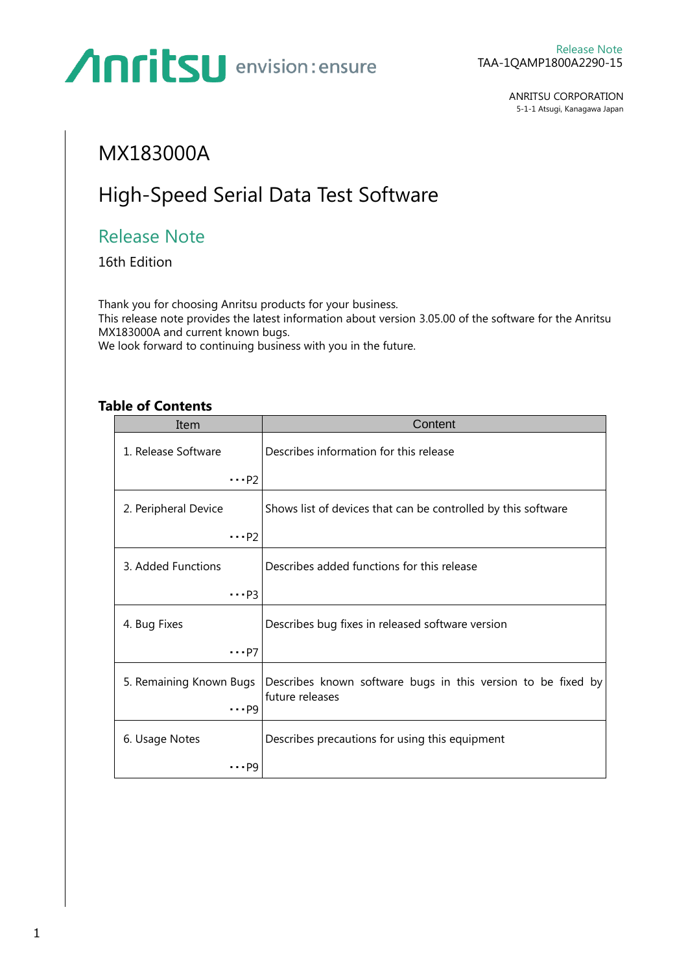ANRITSU CORPORATION 5-1-1 Atsugi, Kanagawa Japan

### MX183000A

### High-Speed Serial Data Test Software

### Release Note

16th Edition

Thank you for choosing Anritsu products for your business. This release note provides the latest information about version 3.05.00 of the software for the Anritsu MX183000A and current known bugs. We look forward to continuing business with you in the future.

| Item                    | Content                                                                         |
|-------------------------|---------------------------------------------------------------------------------|
| 1. Release Software     | Describes information for this release                                          |
| $\cdots$ P2             |                                                                                 |
| 2. Peripheral Device    | Shows list of devices that can be controlled by this software                   |
| $\cdots$ P2             |                                                                                 |
| 3. Added Functions      | Describes added functions for this release                                      |
| $\cdots$ P3             |                                                                                 |
| 4. Bug Fixes            | Describes bug fixes in released software version                                |
| $\cdots$ P7             |                                                                                 |
| 5. Remaining Known Bugs | Describes known software bugs in this version to be fixed by<br>future releases |
| $\cdots$ P9             |                                                                                 |
| 6. Usage Notes          | Describes precautions for using this equipment                                  |
| pg                      |                                                                                 |

**Table of Contents**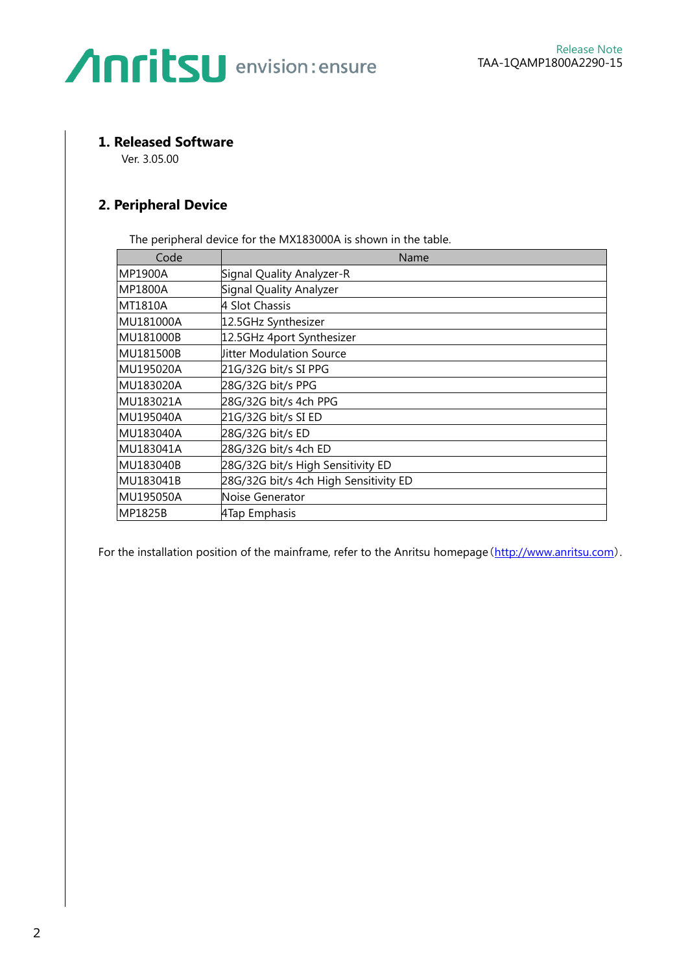#### **1. Released Software**

Ver. 3.05.00

#### **2. Peripheral Device**

The peripheral device for the MX183000A is shown in the table.

| Code           | Name                                  |  |
|----------------|---------------------------------------|--|
| <b>MP1900A</b> | Signal Quality Analyzer-R             |  |
| <b>MP1800A</b> | Signal Quality Analyzer               |  |
| <b>MT1810A</b> | 4 Slot Chassis                        |  |
| MU181000A      | 12.5GHz Synthesizer                   |  |
| MU181000B      | 12.5GHz 4port Synthesizer             |  |
| MU181500B      | <b>Jitter Modulation Source</b>       |  |
| MU195020A      | 21G/32G bit/s SI PPG                  |  |
| MU183020A      | 28G/32G bit/s PPG                     |  |
| MU183021A      | 28G/32G bit/s 4ch PPG                 |  |
| MU195040A      | 21G/32G bit/s SI ED                   |  |
| MU183040A      | 28G/32G bit/s ED                      |  |
| MU183041A      | 28G/32G bit/s 4ch ED                  |  |
| MU183040B      | 28G/32G bit/s High Sensitivity ED     |  |
| MU183041B      | 28G/32G bit/s 4ch High Sensitivity ED |  |
| MU195050A      | Noise Generator                       |  |
| MP1825B        | 4Tap Emphasis                         |  |

For the installation position of the mainframe, refer to the Anritsu homepage ([http://www.anritsu.com](http://www.anritsu.com/)).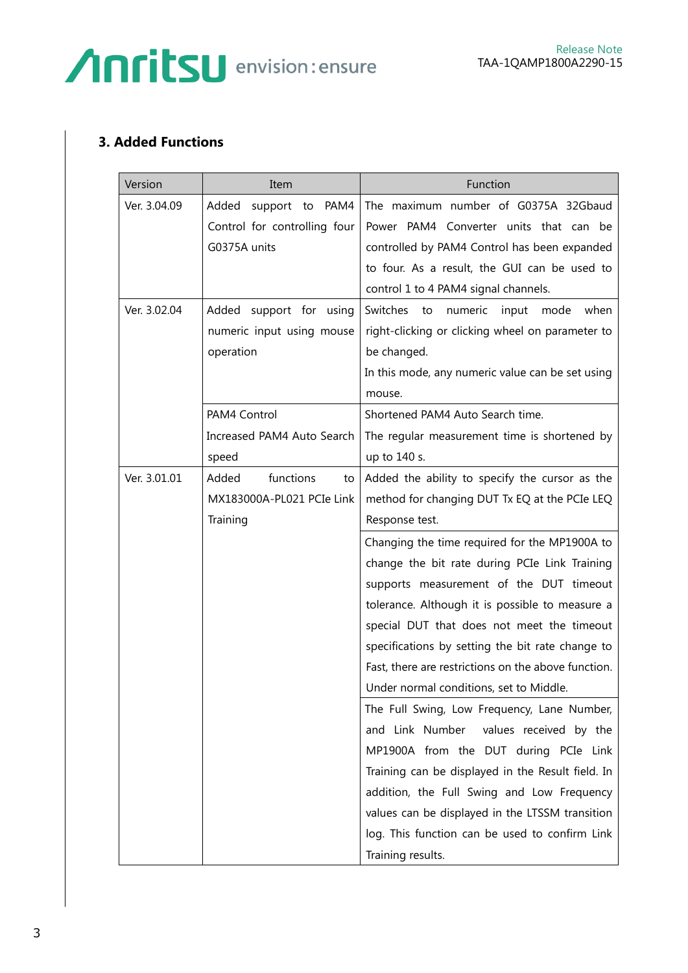### **3. Added Functions**

| Version      | Item                         | Function                                            |
|--------------|------------------------------|-----------------------------------------------------|
| Ver. 3.04.09 | PAM4<br>Added support to     | The maximum number of G0375A 32Gbaud                |
|              | Control for controlling four | Power PAM4 Converter units that can be              |
|              | G0375A units                 | controlled by PAM4 Control has been expanded        |
|              |                              | to four. As a result, the GUI can be used to        |
|              |                              | control 1 to 4 PAM4 signal channels.                |
| Ver. 3.02.04 | Added support for using      | Switches to<br>numeric<br>input<br>mode<br>when     |
|              | numeric input using mouse    | right-clicking or clicking wheel on parameter to    |
|              | operation                    | be changed.                                         |
|              |                              | In this mode, any numeric value can be set using    |
|              |                              | mouse.                                              |
|              | PAM4 Control                 | Shortened PAM4 Auto Search time.                    |
|              | Increased PAM4 Auto Search   | The regular measurement time is shortened by        |
|              | speed                        | up to 140 s.                                        |
| Ver. 3.01.01 | functions<br>Added<br>to     | Added the ability to specify the cursor as the      |
|              | MX183000A-PL021 PCIe Link    | method for changing DUT Tx EQ at the PCIe LEQ       |
|              | Training                     | Response test.                                      |
|              |                              | Changing the time required for the MP1900A to       |
|              |                              | change the bit rate during PCIe Link Training       |
|              |                              | supports measurement of the DUT timeout             |
|              |                              | tolerance. Although it is possible to measure a     |
|              |                              | special DUT that does not meet the timeout          |
|              |                              | specifications by setting the bit rate change to    |
|              |                              | Fast, there are restrictions on the above function. |
|              |                              | Under normal conditions, set to Middle.             |
|              |                              | The Full Swing, Low Frequency, Lane Number,         |
|              |                              | and Link Number<br>values received by the           |
|              |                              | MP1900A from the DUT during PCIe Link               |
|              |                              | Training can be displayed in the Result field. In   |
|              |                              | addition, the Full Swing and Low Frequency          |
|              |                              | values can be displayed in the LTSSM transition     |
|              |                              | log. This function can be used to confirm Link      |
|              |                              | Training results.                                   |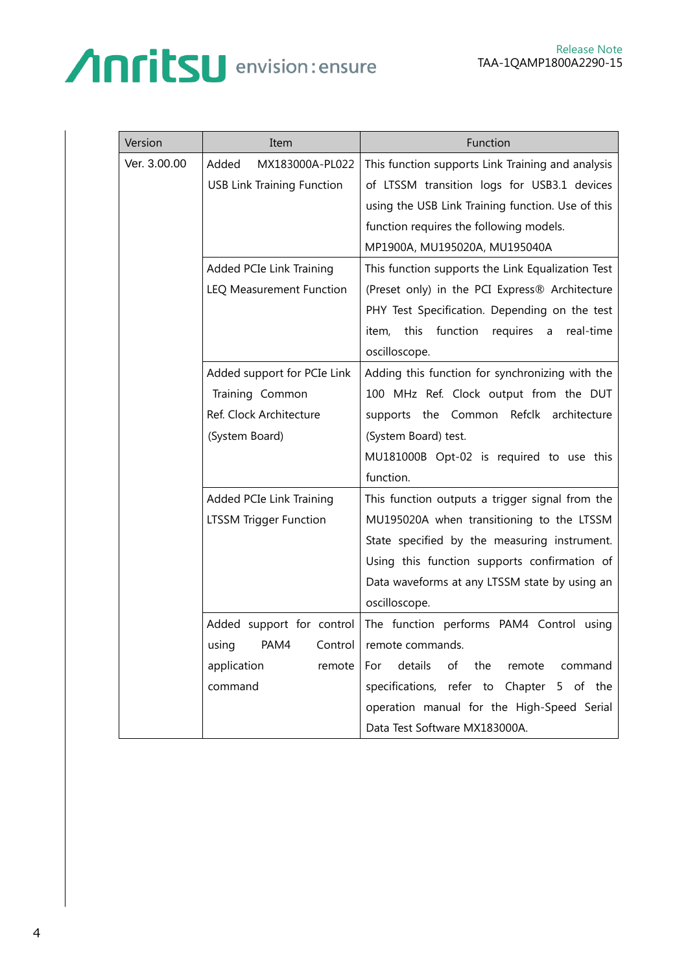| Version      | Item                              | Function                                                |
|--------------|-----------------------------------|---------------------------------------------------------|
| Ver. 3.00.00 | Added<br>MX183000A-PL022          | This function supports Link Training and analysis       |
|              | <b>USB Link Training Function</b> | of LTSSM transition logs for USB3.1 devices             |
|              |                                   | using the USB Link Training function. Use of this       |
|              |                                   | function requires the following models.                 |
|              |                                   | MP1900A, MU195020A, MU195040A                           |
|              | Added PCIe Link Training          | This function supports the Link Equalization Test       |
|              | LEQ Measurement Function          | (Preset only) in the PCI Express® Architecture          |
|              |                                   | PHY Test Specification. Depending on the test           |
|              |                                   | function<br>this<br>real-time<br>item,<br>requires<br>a |
|              |                                   | oscilloscope.                                           |
|              | Added support for PCIe Link       | Adding this function for synchronizing with the         |
|              | Training Common                   | 100 MHz Ref. Clock output from the DUT                  |
|              | Ref. Clock Architecture           | supports the Common Refclk architecture                 |
|              | (System Board)                    | (System Board) test.                                    |
|              |                                   | MU181000B Opt-02 is required to use this                |
|              |                                   | function.                                               |
|              | Added PCIe Link Training          | This function outputs a trigger signal from the         |
|              | LTSSM Trigger Function            | MU195020A when transitioning to the LTSSM               |
|              |                                   | State specified by the measuring instrument.            |
|              |                                   | Using this function supports confirmation of            |
|              |                                   | Data waveforms at any LTSSM state by using an           |
|              |                                   | oscilloscope.                                           |
|              | Added support for control         | The function performs PAM4 Control using                |
|              | PAM4<br>using<br>Control          | remote commands.                                        |
|              | application<br>remote             | details<br>the<br>of<br>remote<br>command<br>For        |
|              | command                           | specifications, refer to Chapter 5 of the               |
|              |                                   | operation manual for the High-Speed Serial              |
|              |                                   | Data Test Software MX183000A.                           |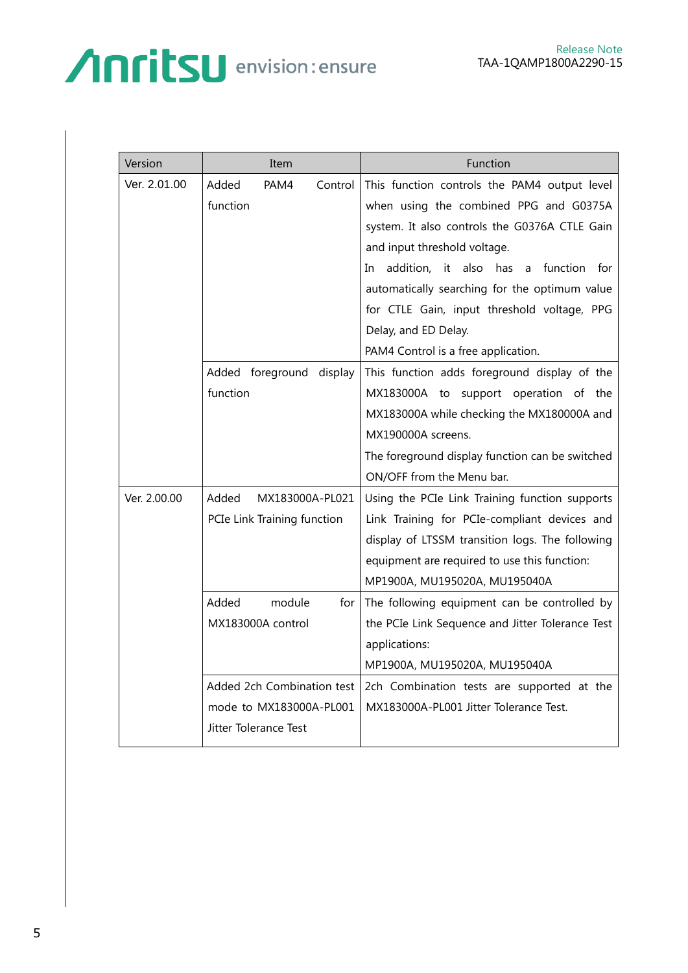| Version      | Item                        | Function                                                |
|--------------|-----------------------------|---------------------------------------------------------|
| Ver. 2.01.00 | Added<br>PAM4<br>Control    | This function controls the PAM4 output level            |
|              | function                    | when using the combined PPG and G0375A                  |
|              |                             | system. It also controls the G0376A CTLE Gain           |
|              |                             | and input threshold voltage.                            |
|              |                             | addition,<br>it also<br>has a<br>function<br>for<br>In. |
|              |                             | automatically searching for the optimum value           |
|              |                             | for CTLE Gain, input threshold voltage, PPG             |
|              |                             | Delay, and ED Delay.                                    |
|              |                             | PAM4 Control is a free application.                     |
|              | Added foreground display    | This function adds foreground display of the            |
|              | function                    | MX183000A to support operation of the                   |
|              |                             | MX183000A while checking the MX180000A and              |
|              |                             | MX190000A screens.                                      |
|              |                             | The foreground display function can be switched         |
|              |                             | ON/OFF from the Menu bar.                               |
| Ver. 2.00.00 | Added<br>MX183000A-PL021    | Using the PCIe Link Training function supports          |
|              | PCIe Link Training function | Link Training for PCIe-compliant devices and            |
|              |                             | display of LTSSM transition logs. The following         |
|              |                             | equipment are required to use this function:            |
|              |                             | MP1900A, MU195020A, MU195040A                           |
|              | Added<br>module<br>for      | The following equipment can be controlled by            |
|              | MX183000A control           | the PCIe Link Sequence and Jitter Tolerance Test        |
|              |                             | applications:                                           |
|              |                             | MP1900A, MU195020A, MU195040A                           |
|              | Added 2ch Combination test  | 2ch Combination tests are supported at the              |
|              | mode to MX183000A-PL001     | MX183000A-PL001 Jitter Tolerance Test.                  |
|              | Jitter Tolerance Test       |                                                         |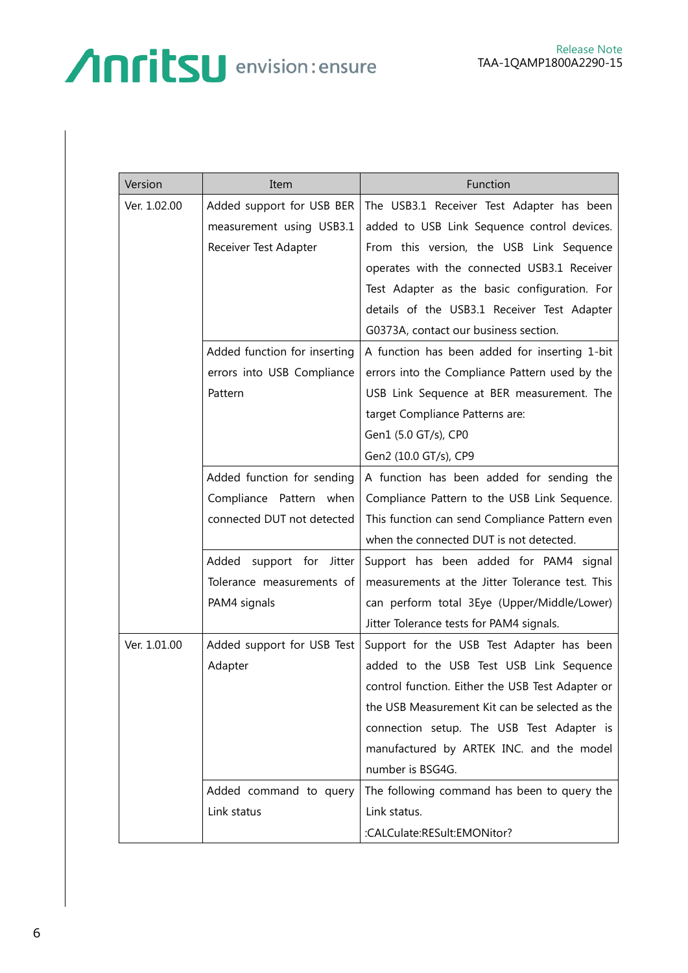| Version      | Item                         | Function                                         |
|--------------|------------------------------|--------------------------------------------------|
| Ver. 1.02.00 | Added support for USB BER    | The USB3.1 Receiver Test Adapter has been        |
|              | measurement using USB3.1     | added to USB Link Sequence control devices.      |
|              | Receiver Test Adapter        | From this version, the USB Link Sequence         |
|              |                              | operates with the connected USB3.1 Receiver      |
|              |                              | Test Adapter as the basic configuration. For     |
|              |                              | details of the USB3.1 Receiver Test Adapter      |
|              |                              | G0373A, contact our business section.            |
|              | Added function for inserting | A function has been added for inserting 1-bit    |
|              | errors into USB Compliance   | errors into the Compliance Pattern used by the   |
|              | Pattern                      | USB Link Sequence at BER measurement. The        |
|              |                              | target Compliance Patterns are:                  |
|              |                              | Gen1 (5.0 GT/s), CP0                             |
|              |                              | Gen2 (10.0 GT/s), CP9                            |
|              | Added function for sending   | A function has been added for sending the        |
|              | Compliance Pattern when      | Compliance Pattern to the USB Link Sequence.     |
|              | connected DUT not detected   | This function can send Compliance Pattern even   |
|              |                              | when the connected DUT is not detected.          |
|              | Added support for Jitter     | Support has been added for PAM4 signal           |
|              | Tolerance measurements of    | measurements at the Jitter Tolerance test. This  |
|              | PAM4 signals                 | can perform total 3Eye (Upper/Middle/Lower)      |
|              |                              | Jitter Tolerance tests for PAM4 signals.         |
| Ver. 1.01.00 | Added support for USB Test   | Support for the USB Test Adapter has been        |
|              | Adapter                      | added to the USB Test USB Link Sequence          |
|              |                              | control function. Either the USB Test Adapter or |
|              |                              | the USB Measurement Kit can be selected as the   |
|              |                              | connection setup. The USB Test Adapter is        |
|              |                              | manufactured by ARTEK INC. and the model         |
|              |                              | number is BSG4G.                                 |
|              | Added command to query       | The following command has been to query the      |
|              | Link status                  | Link status.                                     |
|              |                              | :CALCulate:RESult:EMONitor?                      |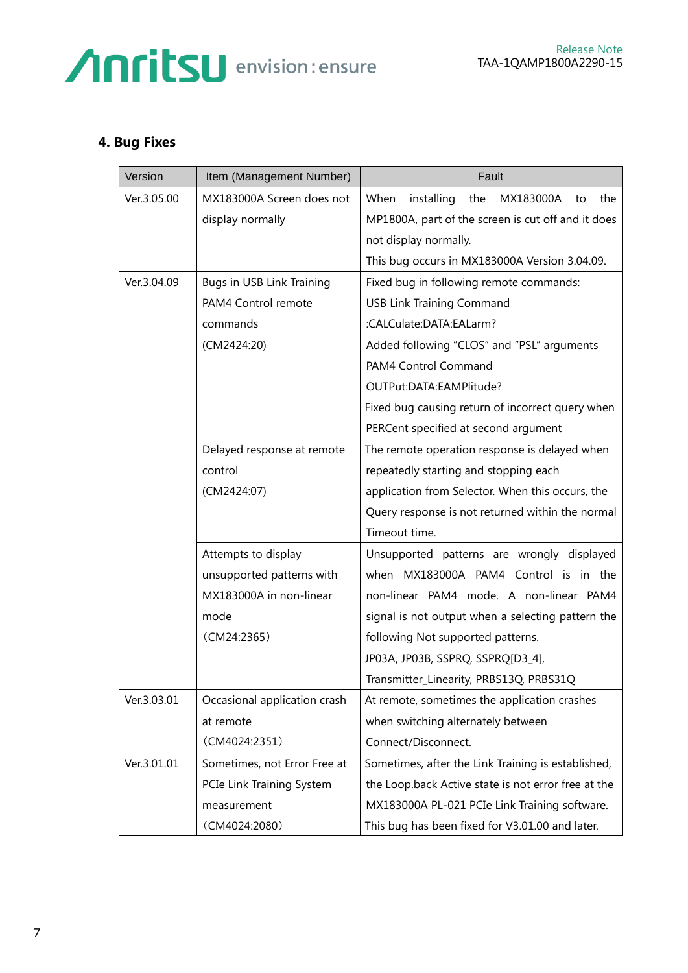#### **4. Bug Fixes**

| Version     | Item (Management Number)     | Fault                                               |
|-------------|------------------------------|-----------------------------------------------------|
| Ver.3.05.00 | MX183000A Screen does not    | When<br>installing<br>the<br>MX183000A<br>the<br>to |
|             | display normally             | MP1800A, part of the screen is cut off and it does  |
|             |                              | not display normally.                               |
|             |                              | This bug occurs in MX183000A Version 3.04.09.       |
| Ver.3.04.09 | Bugs in USB Link Training    | Fixed bug in following remote commands:             |
|             | PAM4 Control remote          | <b>USB Link Training Command</b>                    |
|             | commands                     | :CALCulate:DATA:EALarm?                             |
|             | (CM2424:20)                  | Added following "CLOS" and "PSL" arguments          |
|             |                              | PAM4 Control Command                                |
|             |                              | OUTPut:DATA:EAMPlitude?                             |
|             |                              | Fixed bug causing return of incorrect query when    |
|             |                              | PERCent specified at second argument                |
|             | Delayed response at remote   | The remote operation response is delayed when       |
|             | control                      | repeatedly starting and stopping each               |
|             | (CM2424:07)                  | application from Selector. When this occurs, the    |
|             |                              | Query response is not returned within the normal    |
|             |                              | Timeout time.                                       |
|             | Attempts to display          | Unsupported patterns are wrongly displayed          |
|             | unsupported patterns with    | when MX183000A PAM4 Control is in the               |
|             | MX183000A in non-linear      | non-linear PAM4 mode. A non-linear PAM4             |
|             | mode                         | signal is not output when a selecting pattern the   |
|             | (CM24:2365)                  | following Not supported patterns.                   |
|             |                              | JP03A, JP03B, SSPRQ, SSPRQ[D3_4],                   |
|             |                              | Transmitter_Linearity, PRBS13Q, PRBS31Q             |
| Ver.3.03.01 | Occasional application crash | At remote, sometimes the application crashes        |
|             | at remote                    | when switching alternately between                  |
|             | (CM4024:2351)                | Connect/Disconnect.                                 |
| Ver.3.01.01 | Sometimes, not Error Free at | Sometimes, after the Link Training is established,  |
|             | PCIe Link Training System    | the Loop.back Active state is not error free at the |
|             | measurement                  | MX183000A PL-021 PCIe Link Training software.       |
|             | (CM4024:2080)                | This bug has been fixed for V3.01.00 and later.     |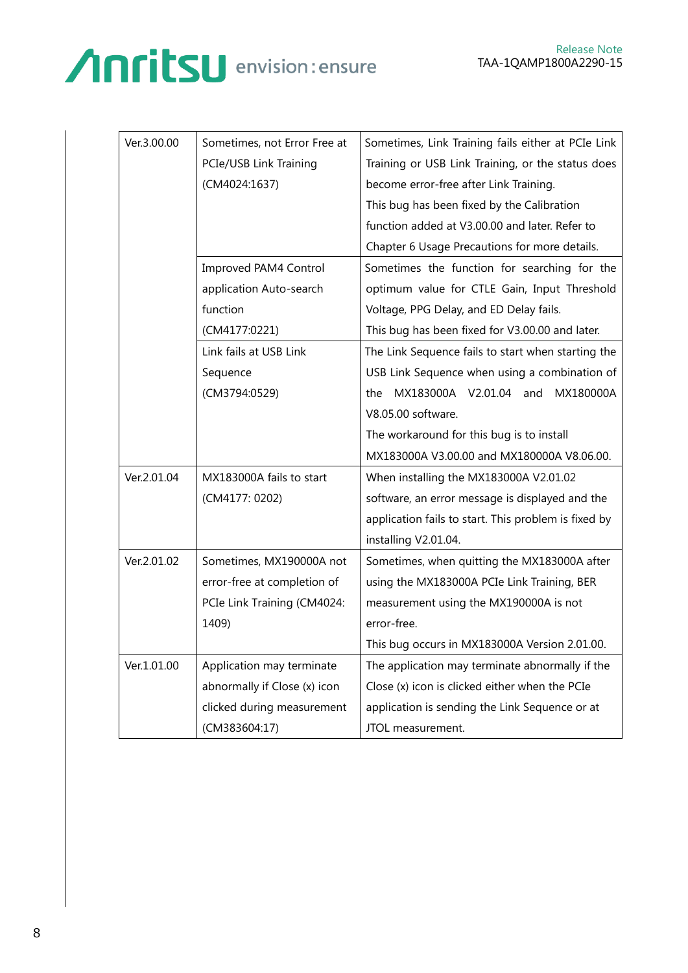#### Release Note TAA-1QAMP1800A2290-15

| Ver.3.00.00 | Sometimes, not Error Free at | Sometimes, Link Training fails either at PCIe Link   |
|-------------|------------------------------|------------------------------------------------------|
|             | PCIe/USB Link Training       | Training or USB Link Training, or the status does    |
|             | (CM4024:1637)                | become error-free after Link Training.               |
|             |                              | This bug has been fixed by the Calibration           |
|             |                              | function added at V3.00.00 and later. Refer to       |
|             |                              | Chapter 6 Usage Precautions for more details.        |
|             | Improved PAM4 Control        | Sometimes the function for searching for the         |
|             | application Auto-search      | optimum value for CTLE Gain, Input Threshold         |
|             | function                     | Voltage, PPG Delay, and ED Delay fails.              |
|             | (CM4177:0221)                | This bug has been fixed for V3.00.00 and later.      |
|             | Link fails at USB Link       | The Link Sequence fails to start when starting the   |
|             | Sequence                     | USB Link Sequence when using a combination of        |
|             | (CM3794:0529)                | MX183000A V2.01.04 and<br>MX180000A<br>the           |
|             |                              | V8.05.00 software.                                   |
|             |                              | The workaround for this bug is to install            |
|             |                              | MX183000A V3.00.00 and MX180000A V8.06.00.           |
| Ver.2.01.04 | MX183000A fails to start     | When installing the MX183000A V2.01.02               |
|             | (CM4177: 0202)               | software, an error message is displayed and the      |
|             |                              | application fails to start. This problem is fixed by |
|             |                              | installing V2.01.04.                                 |
| Ver.2.01.02 | Sometimes, MX190000A not     | Sometimes, when quitting the MX183000A after         |
|             | error-free at completion of  | using the MX183000A PCIe Link Training, BER          |
|             | PCIe Link Training (CM4024:  | measurement using the MX190000A is not               |
|             | 1409)                        | error-free.                                          |
|             |                              | This bug occurs in MX183000A Version 2.01.00.        |
| Ver.1.01.00 | Application may terminate    | The application may terminate abnormally if the      |
|             | abnormally if Close (x) icon | Close (x) icon is clicked either when the PCIe       |
|             | clicked during measurement   | application is sending the Link Sequence or at       |
|             | (CM383604:17)                | JTOL measurement.                                    |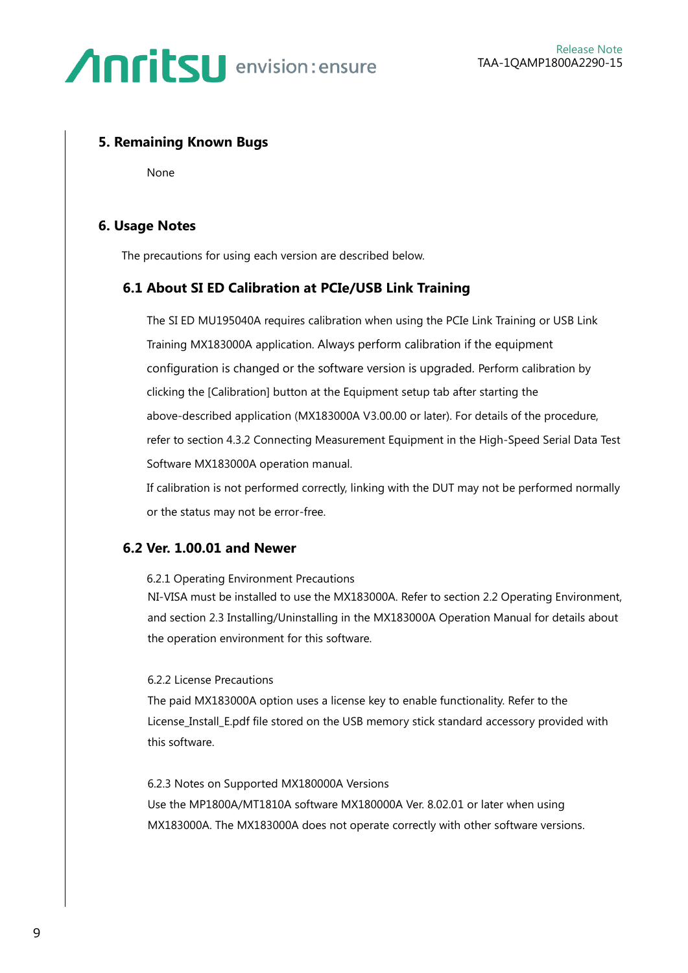#### **5. Remaining Known Bugs**

None

#### **6. Usage Notes**

The precautions for using each version are described below.

#### **6.1 About SI ED Calibration at PCIe/USB Link Training**

The SI ED MU195040A requires calibration when using the PCIe Link Training or USB Link Training MX183000A application. Always perform calibration if the equipment configuration is changed or the software version is upgraded. Perform calibration by clicking the [Calibration] button at the Equipment setup tab after starting the above-described application (MX183000A V3.00.00 or later). For details of the procedure, refer to section 4.3.2 Connecting Measurement Equipment in the High-Speed Serial Data Test Software MX183000A operation manual.

If calibration is not performed correctly, linking with the DUT may not be performed normally or the status may not be error-free.

#### **6.2 Ver. 1.00.01 and Newer**

6.2.1 Operating Environment Precautions

NI-VISA must be installed to use the MX183000A. Refer to section 2.2 Operating Environment, and section 2.3 Installing/Uninstalling in the MX183000A Operation Manual for details about the operation environment for this software.

#### 6.2.2 License Precautions

The paid MX183000A option uses a license key to enable functionality. Refer to the License Install E.pdf file stored on the USB memory stick standard accessory provided with this software.

6.2.3 Notes on Supported MX180000A Versions Use the MP1800A/MT1810A software MX180000A Ver. 8.02.01 or later when using MX183000A. The MX183000A does not operate correctly with other software versions.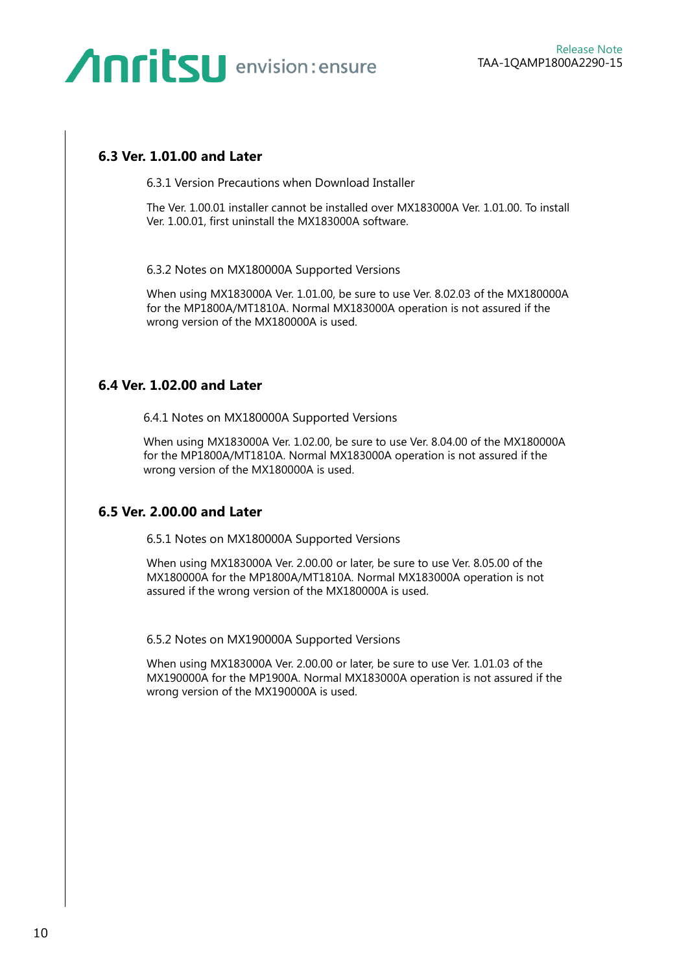#### **6.3 Ver. 1.01.00 and Later**

6.3.1 Version Precautions when Download Installer

The Ver. 1.00.01 installer cannot be installed over MX183000A Ver. 1.01.00. To install Ver. 1.00.01, first uninstall the MX183000A software.

6.3.2 Notes on MX180000A Supported Versions

When using MX183000A Ver. 1.01.00, be sure to use Ver. 8.02.03 of the MX180000A for the MP1800A/MT1810A. Normal MX183000A operation is not assured if the wrong version of the MX180000A is used.

#### **6.4 Ver. 1.02.00 and Later**

6.4.1 Notes on MX180000A Supported Versions

When using MX183000A Ver. 1.02.00, be sure to use Ver. 8.04.00 of the MX180000A for the MP1800A/MT1810A. Normal MX183000A operation is not assured if the wrong version of the MX180000A is used.

#### **6.5 Ver. 2.00.00 and Later**

6.5.1 Notes on MX180000A Supported Versions

When using MX183000A Ver. 2.00.00 or later, be sure to use Ver. 8.05.00 of the MX180000A for the MP1800A/MT1810A. Normal MX183000A operation is not assured if the wrong version of the MX180000A is used.

6.5.2 Notes on MX190000A Supported Versions

When using MX183000A Ver. 2.00.00 or later, be sure to use Ver. 1.01.03 of the MX190000A for the MP1900A. Normal MX183000A operation is not assured if the wrong version of the MX190000A is used.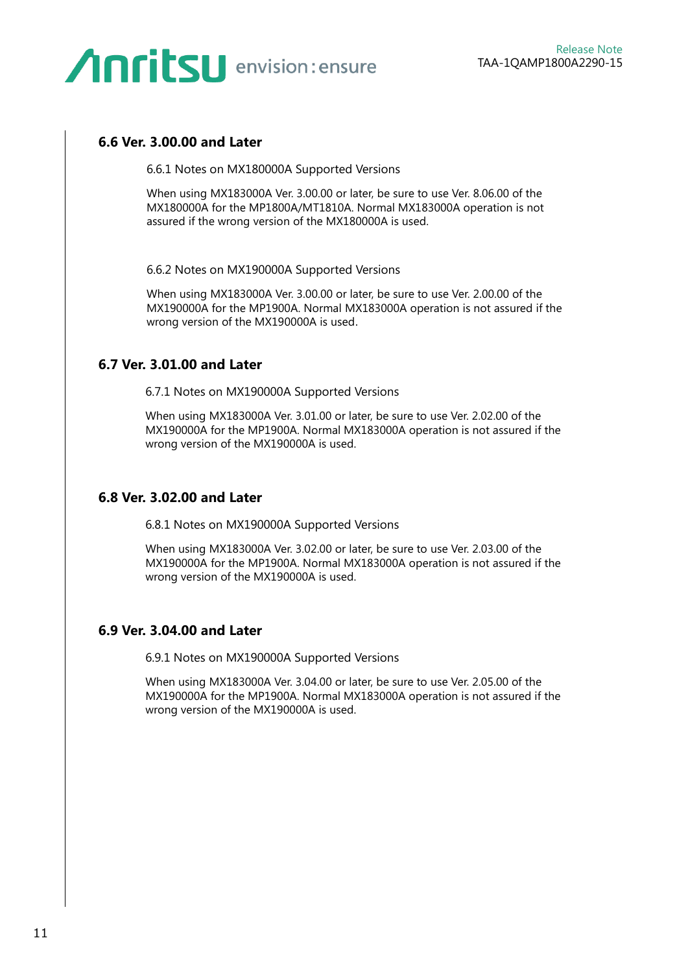#### **6.6 Ver. 3.00.00 and Later**

6.6.1 Notes on MX180000A Supported Versions

When using MX183000A Ver. 3.00.00 or later, be sure to use Ver. 8.06.00 of the MX180000A for the MP1800A/MT1810A. Normal MX183000A operation is not assured if the wrong version of the MX180000A is used.

6.6.2 Notes on MX190000A Supported Versions

When using MX183000A Ver. 3.00.00 or later, be sure to use Ver. 2.00.00 of the MX190000A for the MP1900A. Normal MX183000A operation is not assured if the wrong version of the MX190000A is used.

#### **6.7 Ver. 3.01.00 and Later**

6.7.1 Notes on MX190000A Supported Versions

When using MX183000A Ver. 3.01.00 or later, be sure to use Ver. 2.02.00 of the MX190000A for the MP1900A. Normal MX183000A operation is not assured if the wrong version of the MX190000A is used.

#### **6.8 Ver. 3.02.00 and Later**

6.8.1 Notes on MX190000A Supported Versions

When using MX183000A Ver. 3.02.00 or later, be sure to use Ver. 2.03.00 of the MX190000A for the MP1900A. Normal MX183000A operation is not assured if the wrong version of the MX190000A is used.

#### **6.9 Ver. 3.04.00 and Later**

6.9.1 Notes on MX190000A Supported Versions

When using MX183000A Ver. 3.04.00 or later, be sure to use Ver. 2.05.00 of the MX190000A for the MP1900A. Normal MX183000A operation is not assured if the wrong version of the MX190000A is used.